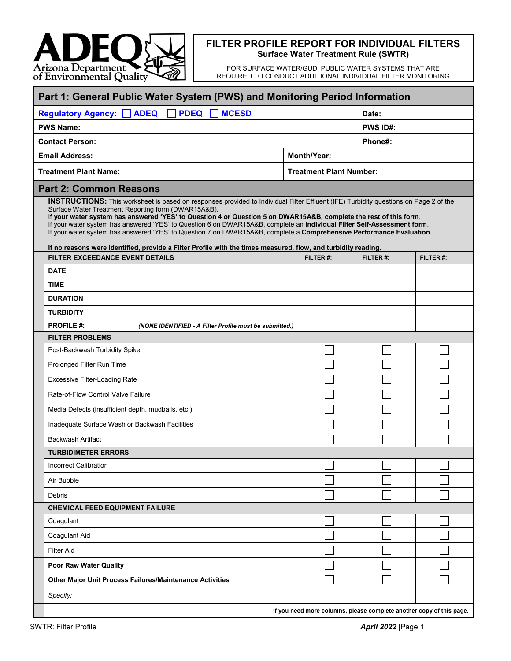

## **FILTER PROFILE REPORT FOR INDIVIDUAL FILTERS Surface Water Treatment Rule (SWTR)**

FOR SURFACE WATER/GUDI PUBLIC WATER SYSTEMS THAT ARE REQUIRED TO CONDUCT ADDITIONAL INDIVIDUAL FILTER MONITORING

| Part 1: General Public Water System (PWS) and Monitoring Period Information |                                                                                                                                                                                                                                                                                                                                                                                                                                                                                                                                                                                                                                                                                             |                                                                      |                                |           |  |
|-----------------------------------------------------------------------------|---------------------------------------------------------------------------------------------------------------------------------------------------------------------------------------------------------------------------------------------------------------------------------------------------------------------------------------------------------------------------------------------------------------------------------------------------------------------------------------------------------------------------------------------------------------------------------------------------------------------------------------------------------------------------------------------|----------------------------------------------------------------------|--------------------------------|-----------|--|
|                                                                             | <b>ADEQ</b><br><b>PDEQ</b><br><b>MCESD</b><br><b>Regulatory Agency:</b>                                                                                                                                                                                                                                                                                                                                                                                                                                                                                                                                                                                                                     |                                                                      | Date:                          |           |  |
|                                                                             | <b>PWS Name:</b>                                                                                                                                                                                                                                                                                                                                                                                                                                                                                                                                                                                                                                                                            |                                                                      | <b>PWS ID#:</b>                |           |  |
|                                                                             | <b>Contact Person:</b>                                                                                                                                                                                                                                                                                                                                                                                                                                                                                                                                                                                                                                                                      |                                                                      | Phone#:                        |           |  |
| <b>Email Address:</b>                                                       |                                                                                                                                                                                                                                                                                                                                                                                                                                                                                                                                                                                                                                                                                             | <b>Month/Year:</b>                                                   |                                |           |  |
| <b>Treatment Plant Name:</b>                                                |                                                                                                                                                                                                                                                                                                                                                                                                                                                                                                                                                                                                                                                                                             |                                                                      | <b>Treatment Plant Number:</b> |           |  |
|                                                                             | <b>Part 2: Common Reasons</b>                                                                                                                                                                                                                                                                                                                                                                                                                                                                                                                                                                                                                                                               |                                                                      |                                |           |  |
|                                                                             | <b>INSTRUCTIONS:</b> This worksheet is based on responses provided to Individual Filter Effluent (IFE) Turbidity questions on Page 2 of the<br>Surface Water Treatment Reporting form (DWAR15A&B).<br>If your water system has answered 'YES' to Question 4 or Question 5 on DWAR15A&B, complete the rest of this form.<br>If your water system has answered 'YES' to Question 6 on DWAR15A&B, complete an Individual Filter Self-Assessment form.<br>If your water system has answered 'YES' to Question 7 on DWAR15A&B, complete a Comprehensive Performance Evaluation.<br>If no reasons were identified, provide a Filter Profile with the times measured, flow, and turbidity reading. |                                                                      |                                |           |  |
|                                                                             | <b>FILTER EXCEEDANCE EVENT DETAILS</b>                                                                                                                                                                                                                                                                                                                                                                                                                                                                                                                                                                                                                                                      | FILTER #:                                                            | FILTER#:                       | FILTER #: |  |
|                                                                             | <b>DATE</b>                                                                                                                                                                                                                                                                                                                                                                                                                                                                                                                                                                                                                                                                                 |                                                                      |                                |           |  |
|                                                                             | <b>TIME</b>                                                                                                                                                                                                                                                                                                                                                                                                                                                                                                                                                                                                                                                                                 |                                                                      |                                |           |  |
|                                                                             | <b>DURATION</b>                                                                                                                                                                                                                                                                                                                                                                                                                                                                                                                                                                                                                                                                             |                                                                      |                                |           |  |
|                                                                             | <b>TURBIDITY</b>                                                                                                                                                                                                                                                                                                                                                                                                                                                                                                                                                                                                                                                                            |                                                                      |                                |           |  |
|                                                                             | <b>PROFILE #:</b><br>(NONE IDENTIFIED - A Filter Profile must be submitted.)<br><b>FILTER PROBLEMS</b>                                                                                                                                                                                                                                                                                                                                                                                                                                                                                                                                                                                      |                                                                      |                                |           |  |
|                                                                             | Post-Backwash Turbidity Spike                                                                                                                                                                                                                                                                                                                                                                                                                                                                                                                                                                                                                                                               |                                                                      |                                |           |  |
|                                                                             | Prolonged Filter Run Time                                                                                                                                                                                                                                                                                                                                                                                                                                                                                                                                                                                                                                                                   |                                                                      |                                |           |  |
|                                                                             | <b>Excessive Filter-Loading Rate</b>                                                                                                                                                                                                                                                                                                                                                                                                                                                                                                                                                                                                                                                        |                                                                      |                                |           |  |
|                                                                             | Rate-of-Flow Control Valve Failure                                                                                                                                                                                                                                                                                                                                                                                                                                                                                                                                                                                                                                                          |                                                                      |                                |           |  |
|                                                                             | Media Defects (insufficient depth, mudballs, etc.)                                                                                                                                                                                                                                                                                                                                                                                                                                                                                                                                                                                                                                          |                                                                      |                                |           |  |
|                                                                             | Inadequate Surface Wash or Backwash Facilities                                                                                                                                                                                                                                                                                                                                                                                                                                                                                                                                                                                                                                              |                                                                      |                                |           |  |
|                                                                             | <b>Backwash Artifact</b>                                                                                                                                                                                                                                                                                                                                                                                                                                                                                                                                                                                                                                                                    |                                                                      |                                |           |  |
|                                                                             | <b>TURBIDIMETER ERRORS</b>                                                                                                                                                                                                                                                                                                                                                                                                                                                                                                                                                                                                                                                                  |                                                                      |                                |           |  |
|                                                                             | <b>Incorrect Calibration</b>                                                                                                                                                                                                                                                                                                                                                                                                                                                                                                                                                                                                                                                                |                                                                      |                                |           |  |
|                                                                             | Air Bubble                                                                                                                                                                                                                                                                                                                                                                                                                                                                                                                                                                                                                                                                                  |                                                                      |                                |           |  |
|                                                                             | Debris                                                                                                                                                                                                                                                                                                                                                                                                                                                                                                                                                                                                                                                                                      |                                                                      |                                |           |  |
|                                                                             | <b>CHEMICAL FEED EQUIPMENT FAILURE</b>                                                                                                                                                                                                                                                                                                                                                                                                                                                                                                                                                                                                                                                      |                                                                      |                                |           |  |
|                                                                             | Coagulant                                                                                                                                                                                                                                                                                                                                                                                                                                                                                                                                                                                                                                                                                   |                                                                      |                                |           |  |
|                                                                             | Coagulant Aid                                                                                                                                                                                                                                                                                                                                                                                                                                                                                                                                                                                                                                                                               |                                                                      |                                |           |  |
|                                                                             | <b>Filter Aid</b>                                                                                                                                                                                                                                                                                                                                                                                                                                                                                                                                                                                                                                                                           |                                                                      |                                |           |  |
|                                                                             | Poor Raw Water Quality                                                                                                                                                                                                                                                                                                                                                                                                                                                                                                                                                                                                                                                                      |                                                                      |                                |           |  |
|                                                                             | Other Major Unit Process Failures/Maintenance Activities                                                                                                                                                                                                                                                                                                                                                                                                                                                                                                                                                                                                                                    |                                                                      |                                |           |  |
|                                                                             | Specify:                                                                                                                                                                                                                                                                                                                                                                                                                                                                                                                                                                                                                                                                                    |                                                                      |                                |           |  |
|                                                                             |                                                                                                                                                                                                                                                                                                                                                                                                                                                                                                                                                                                                                                                                                             | If you need more columns, please complete another copy of this page. |                                |           |  |